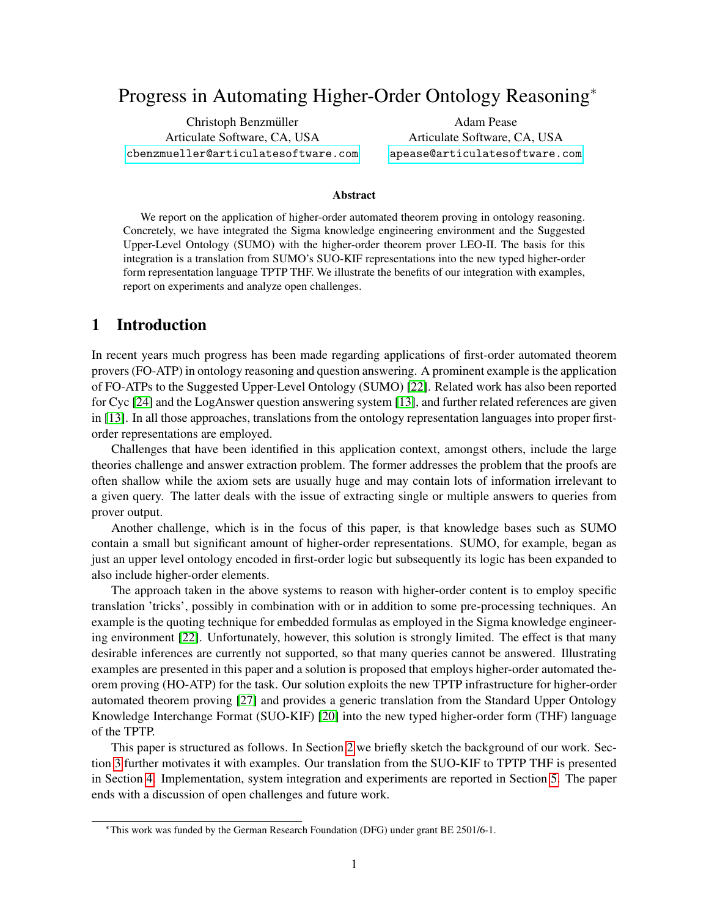# <span id="page-0-0"></span>Progress in Automating Higher-Order Ontology Reasoning<sup>∗</sup>

Christoph Benzmüller Articulate Software, CA, USA <cbenzmueller@articulatesoftware.com>

Adam Pease Articulate Software, CA, USA <apease@articulatesoftware.com>

#### Abstract

We report on the application of higher-order automated theorem proving in ontology reasoning. Concretely, we have integrated the Sigma knowledge engineering environment and the Suggested Upper-Level Ontology (SUMO) with the higher-order theorem prover LEO-II. The basis for this integration is a translation from SUMO's SUO-KIF representations into the new typed higher-order form representation language TPTP THF. We illustrate the benefits of our integration with examples, report on experiments and analyze open challenges.

### 1 Introduction

In recent years much progress has been made regarding applications of first-order automated theorem provers (FO-ATP) in ontology reasoning and question answering. A prominent example is the application of FO-ATPs to the Suggested Upper-Level Ontology (SUMO) [\[22\]](#page-9-0). Related work has also been reported for Cyc [\[24\]](#page-9-1) and the LogAnswer question answering system [\[13\]](#page-9-2), and further related references are given in [\[13\]](#page-9-2). In all those approaches, translations from the ontology representation languages into proper firstorder representations are employed.

Challenges that have been identified in this application context, amongst others, include the large theories challenge and answer extraction problem. The former addresses the problem that the proofs are often shallow while the axiom sets are usually huge and may contain lots of information irrelevant to a given query. The latter deals with the issue of extracting single or multiple answers to queries from prover output.

Another challenge, which is in the focus of this paper, is that knowledge bases such as SUMO contain a small but significant amount of higher-order representations. SUMO, for example, began as just an upper level ontology encoded in first-order logic but subsequently its logic has been expanded to also include higher-order elements.

The approach taken in the above systems to reason with higher-order content is to employ specific translation 'tricks', possibly in combination with or in addition to some pre-processing techniques. An example is the quoting technique for embedded formulas as employed in the Sigma knowledge engineering environment [\[22\]](#page-9-0). Unfortunately, however, this solution is strongly limited. The effect is that many desirable inferences are currently not supported, so that many queries cannot be answered. Illustrating examples are presented in this paper and a solution is proposed that employs higher-order automated theorem proving (HO-ATP) for the task. Our solution exploits the new TPTP infrastructure for higher-order automated theorem proving [\[27\]](#page-9-3) and provides a generic translation from the Standard Upper Ontology Knowledge Interchange Format (SUO-KIF) [\[20\]](#page-9-4) into the new typed higher-order form (THF) language of the TPTP.

This paper is structured as follows. In Section [2](#page-1-0) we briefly sketch the background of our work. Section [3](#page-2-0) further motivates it with examples. Our translation from the SUO-KIF to TPTP THF is presented in Section [4.](#page-4-0) Implementation, system integration and experiments are reported in Section [5.](#page-6-0) The paper ends with a discussion of open challenges and future work.

<sup>∗</sup>This work was funded by the German Research Foundation (DFG) under grant BE 2501/6-1.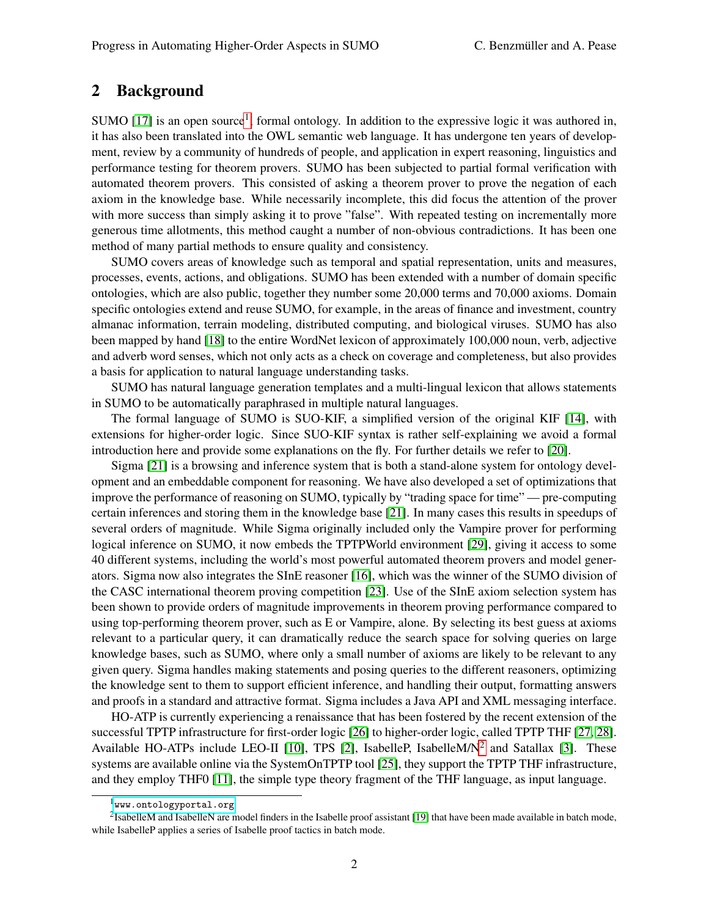### <span id="page-1-0"></span>2 Background

SUMO [\[17\]](#page-9-5) is an open source<sup>[1](#page-0-0)</sup>, formal ontology. In addition to the expressive logic it was authored in, it has also been translated into the OWL semantic web language. It has undergone ten years of development, review by a community of hundreds of people, and application in expert reasoning, linguistics and performance testing for theorem provers. SUMO has been subjected to partial formal verification with automated theorem provers. This consisted of asking a theorem prover to prove the negation of each axiom in the knowledge base. While necessarily incomplete, this did focus the attention of the prover with more success than simply asking it to prove "false". With repeated testing on incrementally more generous time allotments, this method caught a number of non-obvious contradictions. It has been one method of many partial methods to ensure quality and consistency.

SUMO covers areas of knowledge such as temporal and spatial representation, units and measures, processes, events, actions, and obligations. SUMO has been extended with a number of domain specific ontologies, which are also public, together they number some 20,000 terms and 70,000 axioms. Domain specific ontologies extend and reuse SUMO, for example, in the areas of finance and investment, country almanac information, terrain modeling, distributed computing, and biological viruses. SUMO has also been mapped by hand [\[18\]](#page-9-6) to the entire WordNet lexicon of approximately 100,000 noun, verb, adjective and adverb word senses, which not only acts as a check on coverage and completeness, but also provides a basis for application to natural language understanding tasks.

SUMO has natural language generation templates and a multi-lingual lexicon that allows statements in SUMO to be automatically paraphrased in multiple natural languages.

The formal language of SUMO is SUO-KIF, a simplified version of the original KIF [\[14\]](#page-9-7), with extensions for higher-order logic. Since SUO-KIF syntax is rather self-explaining we avoid a formal introduction here and provide some explanations on the fly. For further details we refer to [\[20\]](#page-9-4).

Sigma [\[21\]](#page-9-8) is a browsing and inference system that is both a stand-alone system for ontology development and an embeddable component for reasoning. We have also developed a set of optimizations that improve the performance of reasoning on SUMO, typically by "trading space for time" — pre-computing certain inferences and storing them in the knowledge base [\[21\]](#page-9-8). In many cases this results in speedups of several orders of magnitude. While Sigma originally included only the Vampire prover for performing logical inference on SUMO, it now embeds the TPTPWorld environment [\[29\]](#page-9-9), giving it access to some 40 different systems, including the world's most powerful automated theorem provers and model generators. Sigma now also integrates the SInE reasoner [\[16\]](#page-9-10), which was the winner of the SUMO division of the CASC international theorem proving competition [\[23\]](#page-9-11). Use of the SInE axiom selection system has been shown to provide orders of magnitude improvements in theorem proving performance compared to using top-performing theorem prover, such as E or Vampire, alone. By selecting its best guess at axioms relevant to a particular query, it can dramatically reduce the search space for solving queries on large knowledge bases, such as SUMO, where only a small number of axioms are likely to be relevant to any given query. Sigma handles making statements and posing queries to the different reasoners, optimizing the knowledge sent to them to support efficient inference, and handling their output, formatting answers and proofs in a standard and attractive format. Sigma includes a Java API and XML messaging interface.

HO-ATP is currently experiencing a renaissance that has been fostered by the recent extension of the successful TPTP infrastructure for first-order logic [\[26\]](#page-9-12) to higher-order logic, called TPTP THF [\[27,](#page-9-3) [28\]](#page-9-13). Available HO-ATPs include LEO-II [\[10\]](#page-8-0), TPS [\[2\]](#page-8-1), IsabelleP, IsabelleM/ $N^2$  $N^2$  and Satallax [\[3\]](#page-8-2). These systems are available online via the SystemOnTPTP tool [\[25\]](#page-9-14), they support the TPTP THF infrastructure, and they employ THF0 [\[11\]](#page-9-15), the simple type theory fragment of the THF language, as input language.

 $1$ <www.ontologyportal.org>

 $2$ IsabelleM and IsabelleN are model finders in the Isabelle proof assistant [\[19\]](#page-9-16) that have been made available in batch mode, while IsabelleP applies a series of Isabelle proof tactics in batch mode.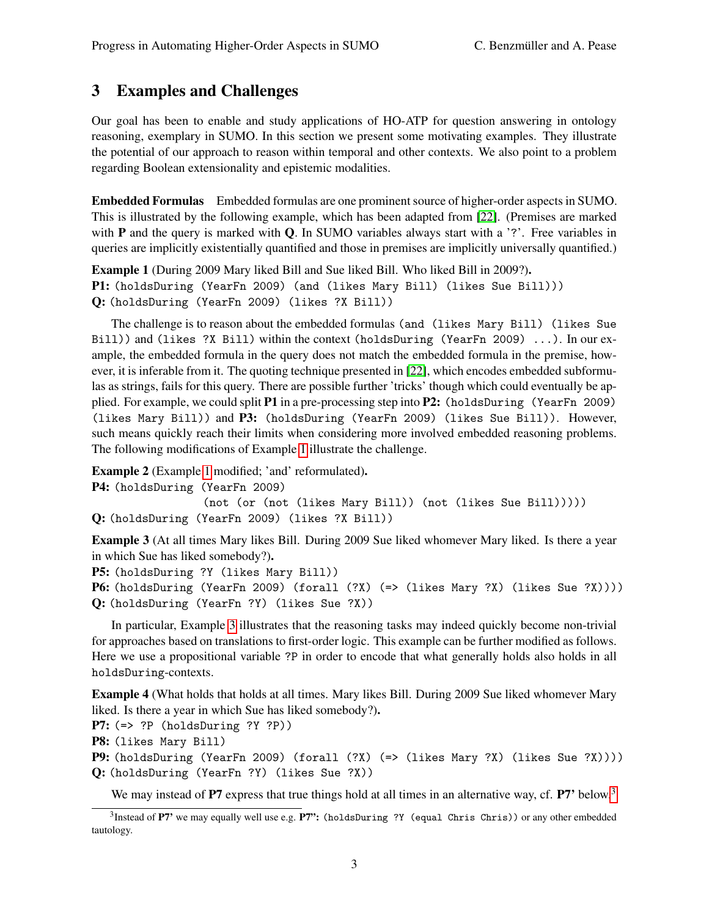# <span id="page-2-0"></span>3 Examples and Challenges

Our goal has been to enable and study applications of HO-ATP for question answering in ontology reasoning, exemplary in SUMO. In this section we present some motivating examples. They illustrate the potential of our approach to reason within temporal and other contexts. We also point to a problem regarding Boolean extensionality and epistemic modalities.

Embedded Formulas Embedded formulas are one prominent source of higher-order aspects in SUMO. This is illustrated by the following example, which has been adapted from [\[22\]](#page-9-0). (Premises are marked with  $P$  and the query is marked with  $Q$ . In SUMO variables always start with a '?'. Free variables in queries are implicitly existentially quantified and those in premises are implicitly universally quantified.)

<span id="page-2-1"></span>Example 1 (During 2009 Mary liked Bill and Sue liked Bill. Who liked Bill in 2009?). P1: (holdsDuring (YearFn 2009) (and (likes Mary Bill) (likes Sue Bill))) Q: (holdsDuring (YearFn 2009) (likes ?X Bill))

The challenge is to reason about the embedded formulas (and (likes Mary Bill) (likes Sue Bill)) and (likes ?X Bill) within the context (holdsDuring (YearFn 2009) ...). In our example, the embedded formula in the query does not match the embedded formula in the premise, however, it is inferable from it. The quoting technique presented in [\[22\]](#page-9-0), which encodes embedded subformulas as strings, fails for this query. There are possible further 'tricks' though which could eventually be applied. For example, we could split P1 in a pre-processing step into P2: (holdsDuring (YearFn 2009) (likes Mary Bill)) and P3: (holdsDuring (YearFn 2009) (likes Sue Bill)). However, such means quickly reach their limits when considering more involved embedded reasoning problems. The following modifications of Example [1](#page-2-1) illustrate the challenge.

Example 2 (Example [1](#page-2-1) modified; 'and' reformulated).

P4: (holdsDuring (YearFn 2009) (not (or (not (likes Mary Bill)) (not (likes Sue Bill))))) Q: (holdsDuring (YearFn 2009) (likes ?X Bill))

<span id="page-2-2"></span>Example 3 (At all times Mary likes Bill. During 2009 Sue liked whomever Mary liked. Is there a year in which Sue has liked somebody?).

```
P5: (holdsDuring ?Y (likes Mary Bill))
```
P6: (holdsDuring (YearFn 2009) (forall (?X) (=> (likes Mary ?X) (likes Sue ?X)))) Q: (holdsDuring (YearFn ?Y) (likes Sue ?X))

In particular, Example [3](#page-2-2) illustrates that the reasoning tasks may indeed quickly become non-trivial for approaches based on translations to first-order logic. This example can be further modified as follows. Here we use a propositional variable ?P in order to encode that what generally holds also holds in all holdsDuring-contexts.

<span id="page-2-3"></span>Example 4 (What holds that holds at all times. Mary likes Bill. During 2009 Sue liked whomever Mary liked. Is there a year in which Sue has liked somebody?).

P7: (=> ?P (holdsDuring ?Y ?P))

P8: (likes Mary Bill)

P9: (holdsDuring (YearFn 2009) (forall (?X) (=> (likes Mary ?X) (likes Sue ?X)))) Q: (holdsDuring (YearFn ?Y) (likes Sue ?X))

We may instead of  $\bf{P7}$  express that true things hold at all times in an alternative way, cf.  $\bf{P7'}$  below.<sup>[3](#page-0-0)</sup>

<span id="page-2-4"></span> $^3$ Instead of **P7'** we may equally well use e.g. **P7':** (holdsDuring ?Y (equal Chris Chris)) or any other embedded tautology.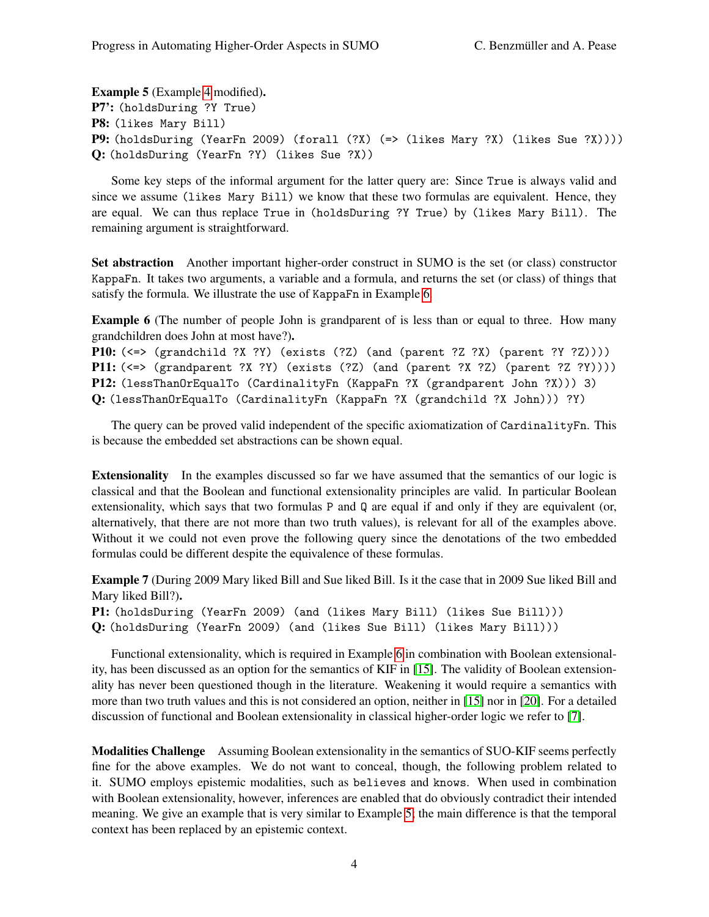Example 5 (Example [4](#page-2-3) modified). P7': (holdsDuring ?Y True) P8: (likes Mary Bill) P9: (holdsDuring (YearFn 2009) (forall (?X) (=> (likes Mary ?X) (likes Sue ?X)))) Q: (holdsDuring (YearFn ?Y) (likes Sue ?X))

Some key steps of the informal argument for the latter query are: Since True is always valid and since we assume (likes Mary Bill) we know that these two formulas are equivalent. Hence, they are equal. We can thus replace True in (holdsDuring ?Y True) by (likes Mary Bill). The remaining argument is straightforward.

Set abstraction Another important higher-order construct in SUMO is the set (or class) constructor KappaFn. It takes two arguments, a variable and a formula, and returns the set (or class) of things that satisfy the formula. We illustrate the use of KappaFn in Example [6.](#page-3-0)

<span id="page-3-0"></span>Example 6 (The number of people John is grandparent of is less than or equal to three. How many grandchildren does John at most have?).

P10: (<=> (grandchild ?X ?Y) (exists (?Z) (and (parent ?Z ?X) (parent ?Y ?Z)))) **P11:**  $(\leq>$  (grandparent ?X ?Y) (exists  $(?Z)$  (and (parent ?X ?Z) (parent ?Z ?Y)))) P12: (lessThanOrEqualTo (CardinalityFn (KappaFn ?X (grandparent John ?X))) 3) Q: (lessThanOrEqualTo (CardinalityFn (KappaFn ?X (grandchild ?X John))) ?Y)

The query can be proved valid independent of the specific axiomatization of CardinalityFn. This is because the embedded set abstractions can be shown equal.

Extensionality In the examples discussed so far we have assumed that the semantics of our logic is classical and that the Boolean and functional extensionality principles are valid. In particular Boolean extensionality, which says that two formulas P and Q are equal if and only if they are equivalent (or, alternatively, that there are not more than two truth values), is relevant for all of the examples above. Without it we could not even prove the following query since the denotations of the two embedded formulas could be different despite the equivalence of these formulas.

Example 7 (During 2009 Mary liked Bill and Sue liked Bill. Is it the case that in 2009 Sue liked Bill and Mary liked Bill?).

P1: (holdsDuring (YearFn 2009) (and (likes Mary Bill) (likes Sue Bill))) Q: (holdsDuring (YearFn 2009) (and (likes Sue Bill) (likes Mary Bill)))

Functional extensionality, which is required in Example [6](#page-3-0) in combination with Boolean extensionality, has been discussed as an option for the semantics of KIF in [\[15\]](#page-9-17). The validity of Boolean extensionality has never been questioned though in the literature. Weakening it would require a semantics with more than two truth values and this is not considered an option, neither in [\[15\]](#page-9-17) nor in [\[20\]](#page-9-4). For a detailed discussion of functional and Boolean extensionality in classical higher-order logic we refer to [\[7\]](#page-8-3).

<span id="page-3-1"></span>Modalities Challenge Assuming Boolean extensionality in the semantics of SUO-KIF seems perfectly fine for the above examples. We do not want to conceal, though, the following problem related to it. SUMO employs epistemic modalities, such as believes and knows. When used in combination with Boolean extensionality, however, inferences are enabled that do obviously contradict their intended meaning. We give an example that is very similar to Example [5;](#page-2-4) the main difference is that the temporal context has been replaced by an epistemic context.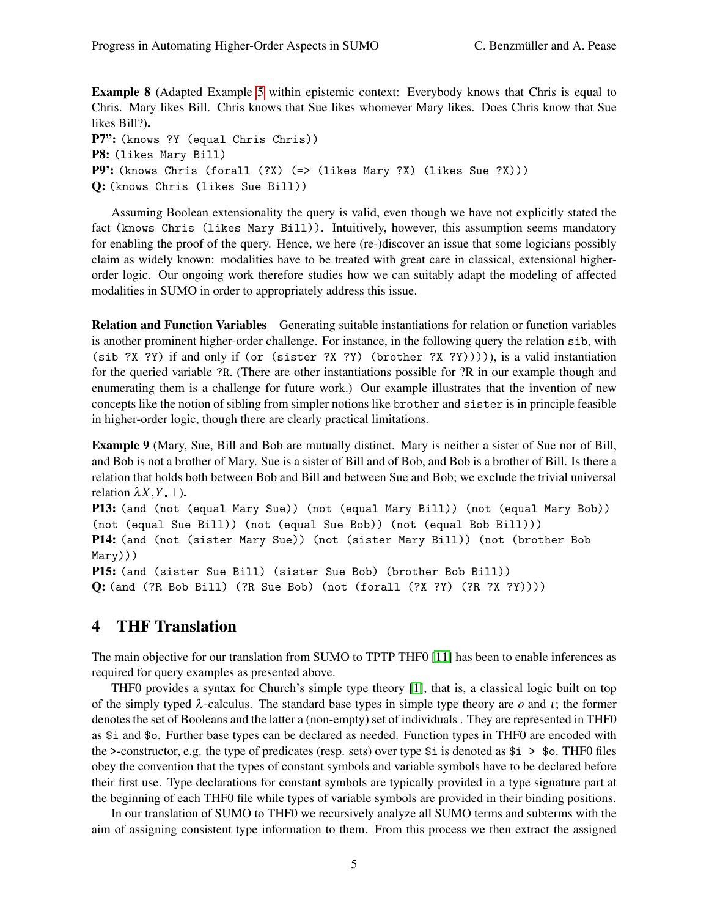Example 8 (Adapted Example [5](#page-2-4) within epistemic context: Everybody knows that Chris is equal to Chris. Mary likes Bill. Chris knows that Sue likes whomever Mary likes. Does Chris know that Sue likes Bill?). P7": (knows ?Y (equal Chris Chris)) P8: (likes Mary Bill) P9': (knows Chris (forall (?X) (=> (likes Mary ?X) (likes Sue ?X)))

Q: (knows Chris (likes Sue Bill))

Assuming Boolean extensionality the query is valid, even though we have not explicitly stated the fact (knows Chris (likes Mary Bill)). Intuitively, however, this assumption seems mandatory for enabling the proof of the query. Hence, we here (re-)discover an issue that some logicians possibly claim as widely known: modalities have to be treated with great care in classical, extensional higherorder logic. Our ongoing work therefore studies how we can suitably adapt the modeling of affected modalities in SUMO in order to appropriately address this issue.

Relation and Function Variables Generating suitable instantiations for relation or function variables is another prominent higher-order challenge. For instance, in the following query the relation sib, with (sib ?X ?Y) if and only if (or (sister ?X ?Y) (brother ?X ?Y))))), is a valid instantiation for the queried variable ?R. (There are other instantiations possible for ?R in our example though and enumerating them is a challenge for future work.) Our example illustrates that the invention of new concepts like the notion of sibling from simpler notions like brother and sister is in principle feasible in higher-order logic, though there are clearly practical limitations.

Example 9 (Mary, Sue, Bill and Bob are mutually distinct. Mary is neither a sister of Sue nor of Bill, and Bob is not a brother of Mary. Sue is a sister of Bill and of Bob, and Bob is a brother of Bill. Is there a relation that holds both between Bob and Bill and between Sue and Bob; we exclude the trivial universal relation  $\lambda X, Y, \top$ ).

P13: (and (not (equal Mary Sue)) (not (equal Mary Bill)) (not (equal Mary Bob)) (not (equal Sue Bill)) (not (equal Sue Bob)) (not (equal Bob Bill))) P14: (and (not (sister Mary Sue)) (not (sister Mary Bill)) (not (brother Bob Mary)))

P15: (and (sister Sue Bill) (sister Sue Bob) (brother Bob Bill)) Q: (and (?R Bob Bill) (?R Sue Bob) (not (forall (?X ?Y) (?R ?X ?Y))))

## <span id="page-4-0"></span>4 THF Translation

The main objective for our translation from SUMO to TPTP THF0 [\[11\]](#page-9-15) has been to enable inferences as required for query examples as presented above.

THF0 provides a syntax for Church's simple type theory [\[1\]](#page-8-4), that is, a classical logic built on top of the simply typed λ-calculus. The standard base types in simple type theory are *o* and ι; the former denotes the set of Booleans and the latter a (non-empty) set of individuals . They are represented in THF0 as \$i and \$o. Further base types can be declared as needed. Function types in THF0 are encoded with the >-constructor, e.g. the type of predicates (resp. sets) over type  $\frac{1}{2}$  is denoted as  $\frac{1}{2}$  >  $\frac{1}{2}$  o. THF0 files obey the convention that the types of constant symbols and variable symbols have to be declared before their first use. Type declarations for constant symbols are typically provided in a type signature part at the beginning of each THF0 file while types of variable symbols are provided in their binding positions.

In our translation of SUMO to THF0 we recursively analyze all SUMO terms and subterms with the aim of assigning consistent type information to them. From this process we then extract the assigned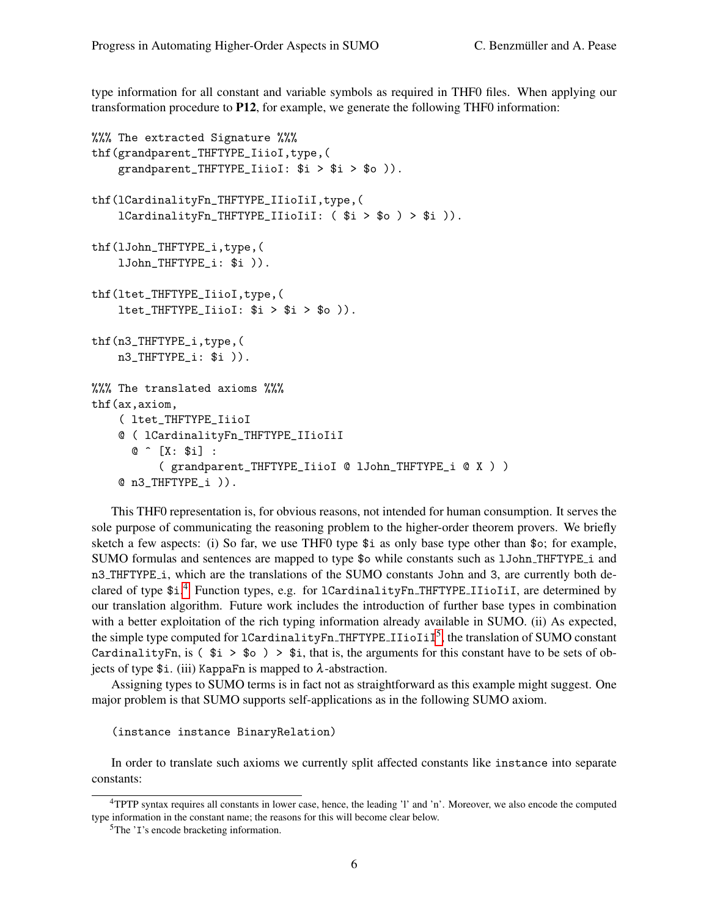type information for all constant and variable symbols as required in THF0 files. When applying our transformation procedure to P12, for example, we generate the following THF0 information:

```
%%% The extracted Signature %%%
thf(grandparent_THFTYPE_IiioI,type,(
    grandparent_THFTYPE_IiioI: $i > $i > $o )).
thf(lCardinalityFn_THFTYPE_IIioIiI,type,(
    lCardinalityFn_THFTYPE_IIioIiI: ( $i > $o ) > $i )).
thf(lJohn_THFTYPE_i,type,(
    lJohn_THFTYPE_i: $i )).
thf(ltet_THFTYPE_IiioI,type,(
    ltet_THFTYPE_IiioI: $i > $i > $o).
thf(n3_THFTYPE_i,type,(
    n3_THFTYPE_i: $i )).
%%% The translated axioms %%%
thf(ax,axiom,
    ( ltet_THFTYPE_IiioI
    @ ( lCardinalityFn_THFTYPE_IIioIiI
      @ [X: $i] :
          ( grandparent_THFTYPE_IiioI @ lJohn_THFTYPE_i @ X ) )
    @ n3_THFTYPE_i )).
```
This THF0 representation is, for obvious reasons, not intended for human consumption. It serves the sole purpose of communicating the reasoning problem to the higher-order theorem provers. We briefly sketch a few aspects: (i) So far, we use THF0 type \$i as only base type other than \$o; for example, SUMO formulas and sentences are mapped to type \$o while constants such as lJohn THFTYPE i and n3 THFTYPE i, which are the translations of the SUMO constants John and 3, are currently both de-clared of type \$i.<sup>[4](#page-0-0)</sup> Function types, e.g. for 1CardinalityFn\_THFTYPE\_IIioIiI, are determined by our translation algorithm. Future work includes the introduction of further base types in combination with a better exploitation of the rich typing information already available in SUMO. (ii) As expected, the simple type computed for  ${\tt lCardinalityFn\_THFTYPE\_IIioIiI}^5,$  ${\tt lCardinalityFn\_THFTYPE\_IIioIiI}^5,$  ${\tt lCardinalityFn\_THFTYPE\_IIioIiI}^5,$  the translation of SUMO constant CardinalityFn, is  $(\hat{\$i} > \$o) > \$i$ , that is, the arguments for this constant have to be sets of objects of type  $\$ i. (iii) KappaFn is mapped to  $\lambda$ -abstraction.

Assigning types to SUMO terms is in fact not as straightforward as this example might suggest. One major problem is that SUMO supports self-applications as in the following SUMO axiom.

```
(instance instance BinaryRelation)
```
In order to translate such axioms we currently split affected constants like instance into separate constants:

<sup>4</sup>TPTP syntax requires all constants in lower case, hence, the leading 'l' and 'n'. Moreover, we also encode the computed type information in the constant name; the reasons for this will become clear below.

<sup>&</sup>lt;sup>5</sup>The 'I's encode bracketing information.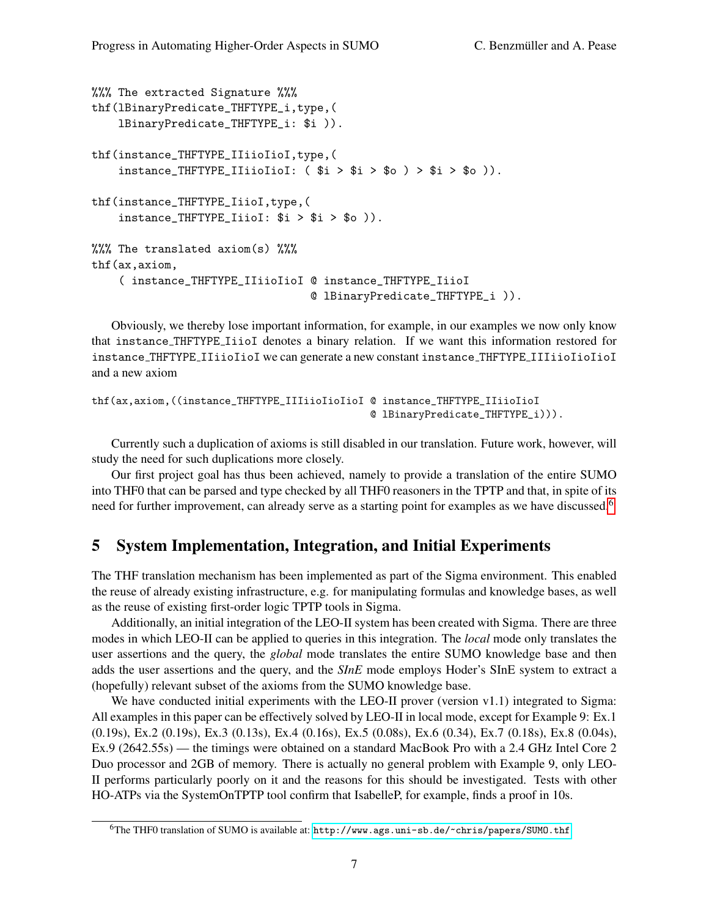```
%%% The extracted Signature %%%
thf(lBinaryPredicate_THFTYPE_i,type,(
    lBinaryPredicate_THFTYPE_i: $i )).
thf(instance_THFTYPE_IIiioIioI,type,(
    instance_THFTYPE_IIiioIioI: ( $i > $i > $o ) > $i > $o )).
thf(instance_THFTYPE_IiioI,type,(
    instance_{\text{THFTYPE\_IiioI}: $i > $i > $o )).
%%% The translated axiom(s) %%%
thf(ax,axiom,
    ( instance_THFTYPE_IIiioIioI @ instance_THFTYPE_IiioI
                                  @ lBinaryPredicate_THFTYPE_i )).
```
Obviously, we thereby lose important information, for example, in our examples we now only know that instance THFTYPE IiioI denotes a binary relation. If we want this information restored for instance\_THFTYPE\_IIiioIioI we can generate a new constant instance\_THFTYPE\_IIIiioIioIioI and a new axiom

```
thf(ax,axiom,((instance_THFTYPE_IIIiioIioIioI @ instance_THFTYPE_IIiioIioI
                                              @ lBinaryPredicate_THFTYPE_i))).
```
Currently such a duplication of axioms is still disabled in our translation. Future work, however, will study the need for such duplications more closely.

Our first project goal has thus been achieved, namely to provide a translation of the entire SUMO into THF0 that can be parsed and type checked by all THF0 reasoners in the TPTP and that, in spite of its need for further improvement, can already serve as a starting point for examples as we have discussed.<sup>[6](#page-0-0)</sup>

### <span id="page-6-0"></span>5 System Implementation, Integration, and Initial Experiments

The THF translation mechanism has been implemented as part of the Sigma environment. This enabled the reuse of already existing infrastructure, e.g. for manipulating formulas and knowledge bases, as well as the reuse of existing first-order logic TPTP tools in Sigma.

Additionally, an initial integration of the LEO-II system has been created with Sigma. There are three modes in which LEO-II can be applied to queries in this integration. The *local* mode only translates the user assertions and the query, the *global* mode translates the entire SUMO knowledge base and then adds the user assertions and the query, and the *SInE* mode employs Hoder's SInE system to extract a (hopefully) relevant subset of the axioms from the SUMO knowledge base.

We have conducted initial experiments with the LEO-II prover (version v1.1) integrated to Sigma: All examples in this paper can be effectively solved by LEO-II in local mode, except for Example 9: Ex.1 (0.19s), Ex.2 (0.19s), Ex.3 (0.13s), Ex.4 (0.16s), Ex.5 (0.08s), Ex.6 (0.34), Ex.7 (0.18s), Ex.8 (0.04s), Ex.9 (2642.55s) — the timings were obtained on a standard MacBook Pro with a 2.4 GHz Intel Core 2 Duo processor and 2GB of memory. There is actually no general problem with Example 9, only LEO-II performs particularly poorly on it and the reasons for this should be investigated. Tests with other HO-ATPs via the SystemOnTPTP tool confirm that IsabelleP, for example, finds a proof in 10s.

<sup>6</sup>The THF0 translation of SUMO is available at: <http://www.ags.uni-sb.de/~chris/papers/SUMO.thf>.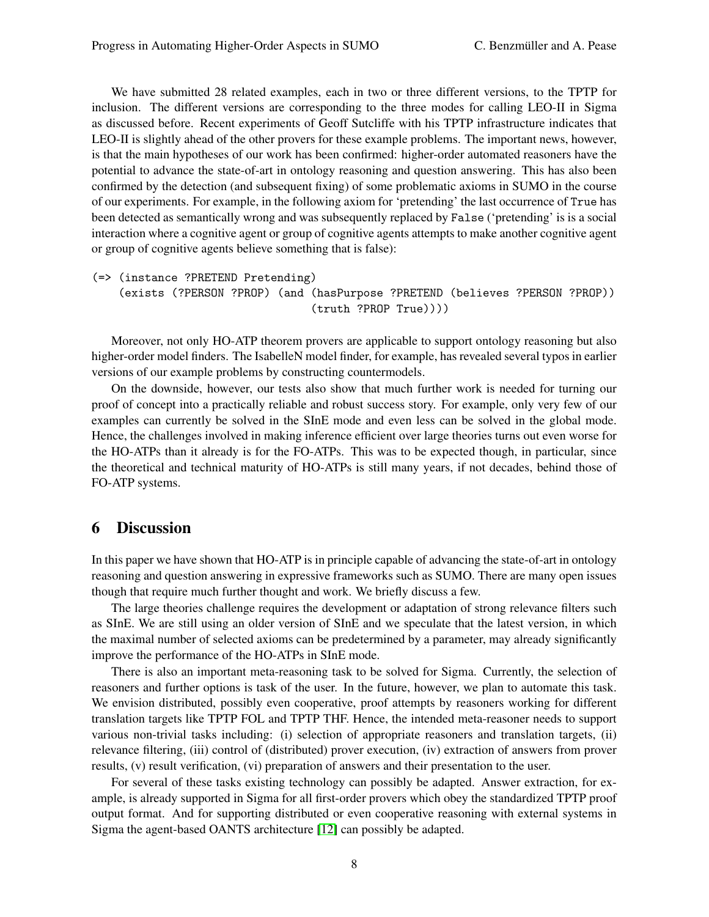We have submitted 28 related examples, each in two or three different versions, to the TPTP for inclusion. The different versions are corresponding to the three modes for calling LEO-II in Sigma as discussed before. Recent experiments of Geoff Sutcliffe with his TPTP infrastructure indicates that LEO-II is slightly ahead of the other provers for these example problems. The important news, however, is that the main hypotheses of our work has been confirmed: higher-order automated reasoners have the potential to advance the state-of-art in ontology reasoning and question answering. This has also been confirmed by the detection (and subsequent fixing) of some problematic axioms in SUMO in the course of our experiments. For example, in the following axiom for 'pretending' the last occurrence of True has been detected as semantically wrong and was subsequently replaced by False ('pretending' is is a social interaction where a cognitive agent or group of cognitive agents attempts to make another cognitive agent or group of cognitive agents believe something that is false):

```
(=> (instance ?PRETEND Pretending)
```
(exists (?PERSON ?PROP) (and (hasPurpose ?PRETEND (believes ?PERSON ?PROP)) (truth ?PROP True))))

Moreover, not only HO-ATP theorem provers are applicable to support ontology reasoning but also higher-order model finders. The IsabelleN model finder, for example, has revealed several typos in earlier versions of our example problems by constructing countermodels.

On the downside, however, our tests also show that much further work is needed for turning our proof of concept into a practically reliable and robust success story. For example, only very few of our examples can currently be solved in the SInE mode and even less can be solved in the global mode. Hence, the challenges involved in making inference efficient over large theories turns out even worse for the HO-ATPs than it already is for the FO-ATPs. This was to be expected though, in particular, since the theoretical and technical maturity of HO-ATPs is still many years, if not decades, behind those of FO-ATP systems.

### 6 Discussion

In this paper we have shown that HO-ATP is in principle capable of advancing the state-of-art in ontology reasoning and question answering in expressive frameworks such as SUMO. There are many open issues though that require much further thought and work. We briefly discuss a few.

The large theories challenge requires the development or adaptation of strong relevance filters such as SInE. We are still using an older version of SInE and we speculate that the latest version, in which the maximal number of selected axioms can be predetermined by a parameter, may already significantly improve the performance of the HO-ATPs in SInE mode.

There is also an important meta-reasoning task to be solved for Sigma. Currently, the selection of reasoners and further options is task of the user. In the future, however, we plan to automate this task. We envision distributed, possibly even cooperative, proof attempts by reasoners working for different translation targets like TPTP FOL and TPTP THF. Hence, the intended meta-reasoner needs to support various non-trivial tasks including: (i) selection of appropriate reasoners and translation targets, (ii) relevance filtering, (iii) control of (distributed) prover execution, (iv) extraction of answers from prover results, (v) result verification, (vi) preparation of answers and their presentation to the user.

For several of these tasks existing technology can possibly be adapted. Answer extraction, for example, is already supported in Sigma for all first-order provers which obey the standardized TPTP proof output format. And for supporting distributed or even cooperative reasoning with external systems in Sigma the agent-based OANTS architecture [\[12\]](#page-9-18) can possibly be adapted.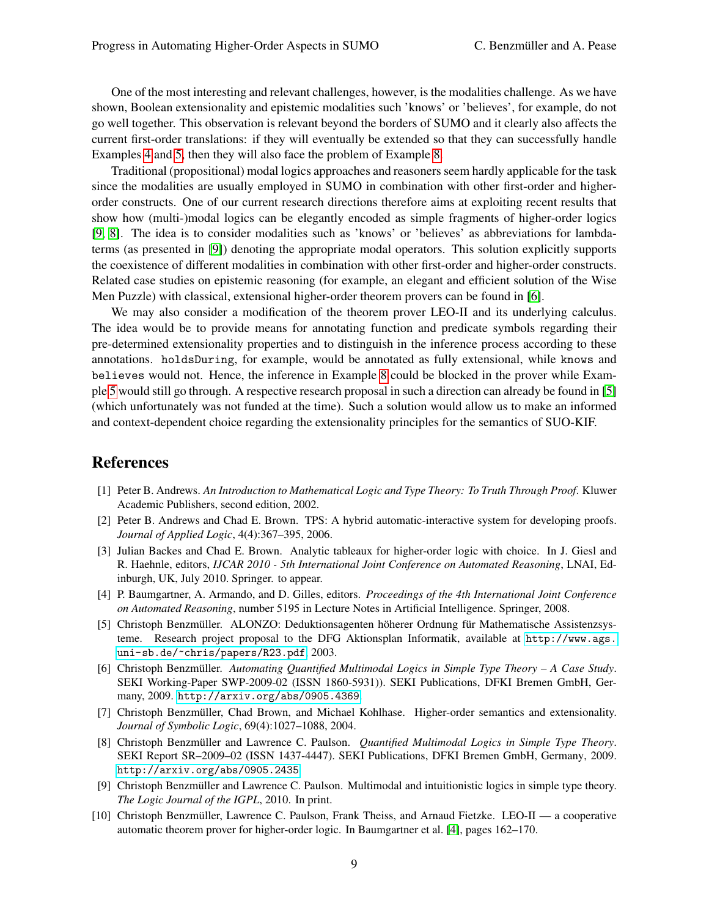One of the most interesting and relevant challenges, however, is the modalities challenge. As we have shown, Boolean extensionality and epistemic modalities such 'knows' or 'believes', for example, do not go well together. This observation is relevant beyond the borders of SUMO and it clearly also affects the current first-order translations: if they will eventually be extended so that they can successfully handle Examples [4](#page-2-3) and [5,](#page-2-4) then they will also face the problem of Example [8.](#page-3-1)

Traditional (propositional) modal logics approaches and reasoners seem hardly applicable for the task since the modalities are usually employed in SUMO in combination with other first-order and higherorder constructs. One of our current research directions therefore aims at exploiting recent results that show how (multi-)modal logics can be elegantly encoded as simple fragments of higher-order logics [\[9,](#page-8-5) [8\]](#page-8-6). The idea is to consider modalities such as 'knows' or 'believes' as abbreviations for lambdaterms (as presented in [\[9\]](#page-8-5)) denoting the appropriate modal operators. This solution explicitly supports the coexistence of different modalities in combination with other first-order and higher-order constructs. Related case studies on epistemic reasoning (for example, an elegant and efficient solution of the Wise Men Puzzle) with classical, extensional higher-order theorem provers can be found in [\[6\]](#page-8-7).

We may also consider a modification of the theorem prover LEO-II and its underlying calculus. The idea would be to provide means for annotating function and predicate symbols regarding their pre-determined extensionality properties and to distinguish in the inference process according to these annotations. holdsDuring, for example, would be annotated as fully extensional, while knows and believes would not. Hence, the inference in Example [8](#page-3-1) could be blocked in the prover while Example [5](#page-2-4) would still go through. A respective research proposal in such a direction can already be found in [\[5\]](#page-8-8) (which unfortunately was not funded at the time). Such a solution would allow us to make an informed and context-dependent choice regarding the extensionality principles for the semantics of SUO-KIF.

#### References

- <span id="page-8-4"></span>[1] Peter B. Andrews. *An Introduction to Mathematical Logic and Type Theory: To Truth Through Proof*. Kluwer Academic Publishers, second edition, 2002.
- <span id="page-8-1"></span>[2] Peter B. Andrews and Chad E. Brown. TPS: A hybrid automatic-interactive system for developing proofs. *Journal of Applied Logic*, 4(4):367–395, 2006.
- <span id="page-8-2"></span>[3] Julian Backes and Chad E. Brown. Analytic tableaux for higher-order logic with choice. In J. Giesl and R. Haehnle, editors, *IJCAR 2010 - 5th International Joint Conference on Automated Reasoning*, LNAI, Edinburgh, UK, July 2010. Springer. to appear.
- <span id="page-8-9"></span>[4] P. Baumgartner, A. Armando, and D. Gilles, editors. *Proceedings of the 4th International Joint Conference on Automated Reasoning*, number 5195 in Lecture Notes in Artificial Intelligence. Springer, 2008.
- <span id="page-8-8"></span>[5] Christoph Benzmüller. ALONZO: Deduktionsagenten höherer Ordnung für Mathematische Assistenzsysteme. Research project proposal to the DFG Aktionsplan Informatik, available at [http://www.ags.](http://www.ags.uni-sb.de/~chris/papers/R23.pdf) [uni-sb.de/~chris/papers/R23.pdf](http://www.ags.uni-sb.de/~chris/papers/R23.pdf), 2003.
- <span id="page-8-7"></span>[6] Christoph Benzmüller. Automating Quantified Multimodal Logics in Simple Type Theory – A Case Study. SEKI Working-Paper SWP-2009-02 (ISSN 1860-5931)). SEKI Publications, DFKI Bremen GmbH, Germany, 2009. <http://arxiv.org/abs/0905.4369>.
- <span id="page-8-3"></span>[7] Christoph Benzmüller, Chad Brown, and Michael Kohlhase. Higher-order semantics and extensionality. *Journal of Symbolic Logic*, 69(4):1027–1088, 2004.
- <span id="page-8-6"></span>[8] Christoph Benzmüller and Lawrence C. Paulson. *Quantified Multimodal Logics in Simple Type Theory*. SEKI Report SR–2009–02 (ISSN 1437-4447). SEKI Publications, DFKI Bremen GmbH, Germany, 2009. <http://arxiv.org/abs/0905.2435>.
- <span id="page-8-5"></span>[9] Christoph Benzmüller and Lawrence C. Paulson. Multimodal and intuitionistic logics in simple type theory. *The Logic Journal of the IGPL*, 2010. In print.
- <span id="page-8-0"></span>[10] Christoph Benzmuller, Lawrence C. Paulson, Frank Theiss, and Arnaud Fietzke. LEO-II — a cooperative ¨ automatic theorem prover for higher-order logic. In Baumgartner et al. [\[4\]](#page-8-9), pages 162–170.